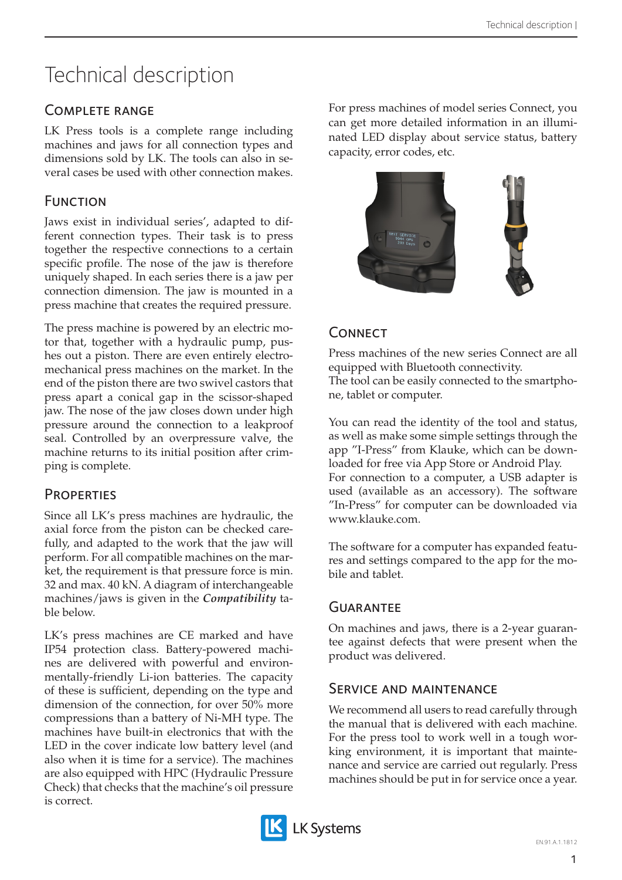# Technical description

### Complete range

LK Press tools is a complete range including machines and jaws for all connection types and dimensions sold by LK. The tools can also in several cases be used with other connection makes.

## **FUNCTION**

Jaws exist in individual series', adapted to different connection types. Their task is to press together the respective connections to a certain specific profile. The nose of the jaw is therefore uniquely shaped. In each series there is a jaw per connection dimension. The jaw is mounted in a press machine that creates the required pressure.

The press machine is powered by an electric motor that, together with a hydraulic pump, pushes out a piston. There are even entirely electromechanical press machines on the market. In the end of the piston there are two swivel castors that press apart a conical gap in the scissor-shaped jaw. The nose of the jaw closes down under high pressure around the connection to a leakproof seal. Controlled by an overpressure valve, the machine returns to its initial position after crimping is complete.

#### **PROPERTIES**

Since all LK's press machines are hydraulic, the axial force from the piston can be checked carefully, and adapted to the work that the jaw will perform. For all compatible machines on the market, the requirement is that pressure force is min. 32 and max. 40 kN. A diagram of interchangeable machines/jaws is given in the *Compatibility* table below.

LK's press machines are CE marked and have IP54 protection class. Battery-powered machines are delivered with powerful and environmentally-friendly Li-ion batteries. The capacity of these is sufficient, depending on the type and dimension of the connection, for over 50% more compressions than a battery of Ni-MH type. The machines have built-in electronics that with the LED in the cover indicate low battery level (and also when it is time for a service). The machines are also equipped with HPC (Hydraulic Pressure Check) that checks that the machine's oil pressure is correct.

For press machines of model series Connect, you can get more detailed information in an illuminated LED display about service status, battery capacity, error codes, etc.



# **CONNECT**

Press machines of the new series Connect are all equipped with Bluetooth connectivity. The tool can be easily connected to the smartphone, tablet or computer.

You can read the identity of the tool and status, as well as make some simple settings through the app "I-Press" from Klauke, which can be downloaded for free via App Store or Android Play. For connection to a computer, a USB adapter is used (available as an accessory). The software "In-Press" for computer can be downloaded via www.klauke.com.

The software for a computer has expanded features and settings compared to the app for the mobile and tablet.

#### **GUARANTEE**

On machines and jaws, there is a 2-year guarantee against defects that were present when the product was delivered.

#### Service and maintenance

We recommend all users to read carefully through the manual that is delivered with each machine. For the press tool to work well in a tough working environment, it is important that maintenance and service are carried out regularly. Press machines should be put in for service once a year.

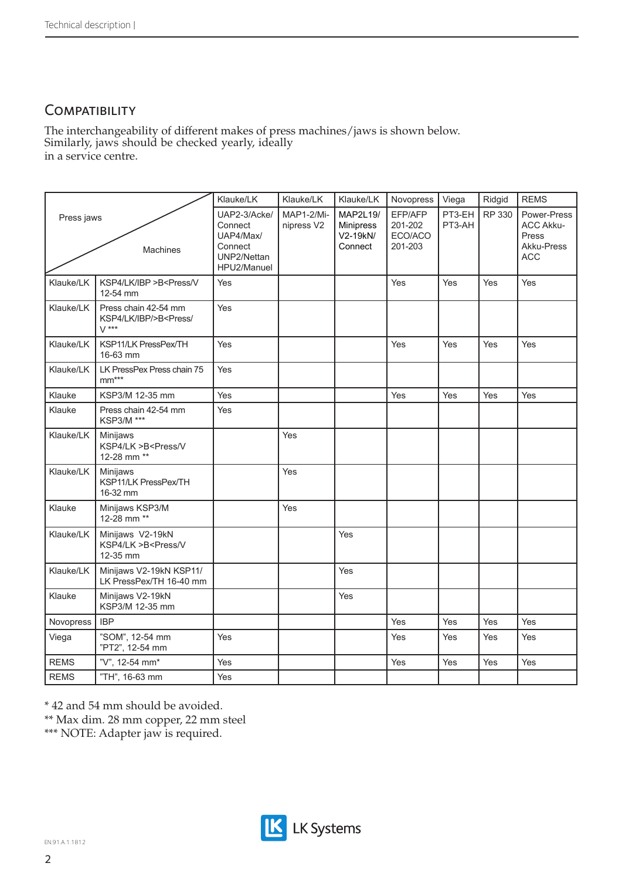# **COMPATIBILITY**

Similarly, jaws should be checked yearly, ideally in a service centre. The interchangeability of different makes of press machines/jaws is shown below.

|                        |                                                                                 | Klauke/LK                                                                     | Klauke/LK                | Klauke/LK                                           | Novopress                                | Viega            | Ridgid | <b>REMS</b>                                                          |
|------------------------|---------------------------------------------------------------------------------|-------------------------------------------------------------------------------|--------------------------|-----------------------------------------------------|------------------------------------------|------------------|--------|----------------------------------------------------------------------|
| Press jaws<br>Machines |                                                                                 | UAP2-3/Acke/<br>Connect<br>UAP4/Max/<br>Connect<br>UNP2/Nettan<br>HPU2/Manuel | MAP1-2/Mi-<br>nipress V2 | MAP2L19/<br><b>Minipress</b><br>V2-19kN/<br>Connect | EFP/AFP<br>201-202<br>ECO/ACO<br>201-203 | PT3-EH<br>PT3-AH | RP 330 | Power-Press<br><b>ACC Akku-</b><br>Press<br>Akku-Press<br><b>ACC</b> |
| Klauke/LK              | KSP4/LK/IBP >B <press v<br="">12-54 mm</press>                                  | Yes                                                                           |                          |                                                     | Yes                                      | Yes              | Yes    | Yes                                                                  |
| Klauke/LK              | Press chain 42-54 mm<br>KSP4/LK/IBP/>B <press <br=""><math>V</math> ***</press> | Yes                                                                           |                          |                                                     |                                          |                  |        |                                                                      |
| Klauke/LK              | KSP11/LK PressPex/TH<br>16-63 mm                                                | Yes                                                                           |                          |                                                     | Yes                                      | Yes              | Yes    | Yes                                                                  |
| Klauke/LK              | LK PressPex Press chain 75<br>$mm***$                                           | Yes                                                                           |                          |                                                     |                                          |                  |        |                                                                      |
| Klauke                 | KSP3/M 12-35 mm                                                                 | Yes                                                                           |                          |                                                     | Yes                                      | Yes              | Yes    | Yes                                                                  |
| Klauke                 | Press chain 42-54 mm<br>KSP3/M ***                                              | Yes                                                                           |                          |                                                     |                                          |                  |        |                                                                      |
| Klauke/LK              | Minijaws<br>KSP4/LK >B <press v<br="">12-28 mm **</press>                       |                                                                               | Yes                      |                                                     |                                          |                  |        |                                                                      |
| Klauke/LK              | Minijaws<br>KSP11/LK PressPex/TH<br>16-32 mm                                    |                                                                               | Yes                      |                                                     |                                          |                  |        |                                                                      |
| Klauke                 | Minijaws KSP3/M<br>12-28 mm **                                                  |                                                                               | Yes                      |                                                     |                                          |                  |        |                                                                      |
| Klauke/LK              | Minijaws V2-19kN<br>KSP4/LK >B <press v<br="">12-35 mm</press>                  |                                                                               |                          | Yes                                                 |                                          |                  |        |                                                                      |
| Klauke/LK              | Minijaws V2-19kN KSP11/<br>LK PressPex/TH 16-40 mm                              |                                                                               |                          | Yes                                                 |                                          |                  |        |                                                                      |
| Klauke                 | Minijaws V2-19kN<br>KSP3/M 12-35 mm                                             |                                                                               |                          | Yes                                                 |                                          |                  |        |                                                                      |
| Novopress              | <b>IBP</b>                                                                      |                                                                               |                          |                                                     | Yes                                      | Yes              | Yes    | Yes                                                                  |
| Viega                  | "SOM", 12-54 mm<br>"PT2", 12-54 mm                                              | Yes                                                                           |                          |                                                     | Yes                                      | Yes              | Yes    | Yes                                                                  |
| <b>REMS</b>            | "V", 12-54 mm*                                                                  | Yes                                                                           |                          |                                                     | Yes                                      | Yes              | Yes    | Yes                                                                  |
| <b>REMS</b>            | "TH", 16-63 mm                                                                  | Yes                                                                           |                          |                                                     |                                          |                  |        |                                                                      |

\* 42 and 54 mm should be avoided.

\*\* Max dim. 28 mm copper, 22 mm steel

\*\*\* NOTE: Adapter jaw is required.